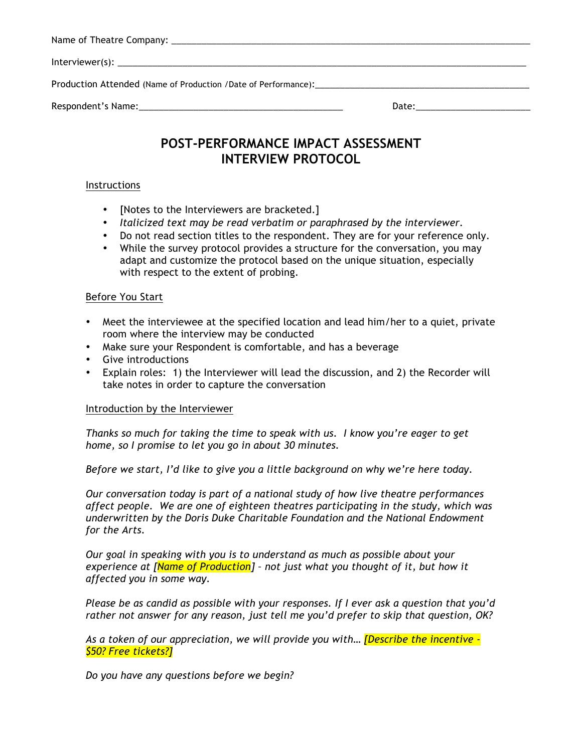# **POST-PERFORMANCE IMPACT ASSESSMENT INTERVIEW PROTOCOL**

### Instructions

- [Notes to the Interviewers are bracketed.]
- *Italicized text may be read verbatim or paraphrased by the interviewer.*
- Do not read section titles to the respondent. They are for your reference only.
- While the survey protocol provides a structure for the conversation, you may adapt and customize the protocol based on the unique situation, especially with respect to the extent of probing.

### Before You Start

- Meet the interviewee at the specified location and lead him/her to a quiet, private room where the interview may be conducted
- Make sure your Respondent is comfortable, and has a beverage
- Give introductions
- Explain roles: 1) the Interviewer will lead the discussion, and 2) the Recorder will take notes in order to capture the conversation

### Introduction by the Interviewer

*Thanks so much for taking the time to speak with us. I know you're eager to get home, so I promise to let you go in about 30 minutes.* 

*Before we start, I'd like to give you a little background on why we're here today.* 

*Our conversation today is part of a national study of how live theatre performances affect people. We are one of eighteen theatres participating in the study, which was underwritten by the Doris Duke Charitable Foundation and the National Endowment for the Arts.*

*Our goal in speaking with you is to understand as much as possible about your experience at [Name of Production] – not just what you thought of it, but how it affected you in some way.* 

*Please be as candid as possible with your responses. If I ever ask a question that you'd rather not answer for any reason, just tell me you'd prefer to skip that question, OK?*

*As a token of our appreciation, we will provide you with… [Describe the incentive - \$50? Free tickets?]*

*Do you have any questions before we begin?*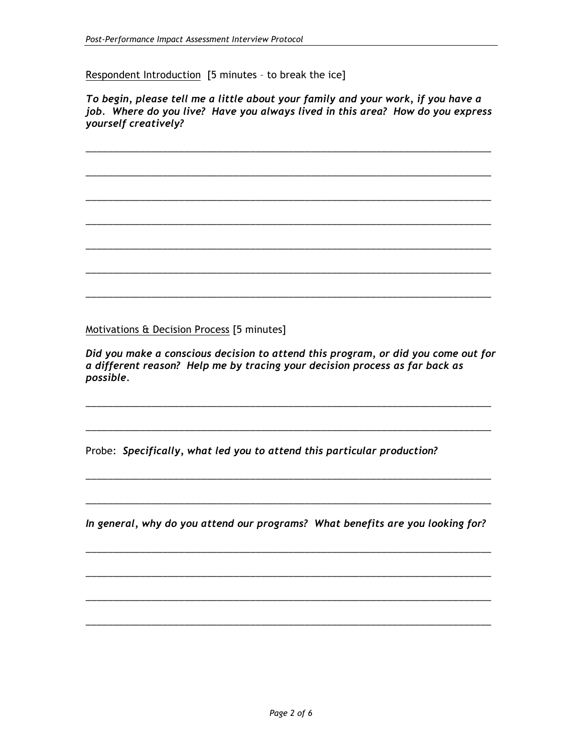Respondent Introduction [5 minutes – to break the ice]

*To begin, please tell me a little about your family and your work, if you have a job. Where do you live? Have you always lived in this area? How do you express yourself creatively?*

\_\_\_\_\_\_\_\_\_\_\_\_\_\_\_\_\_\_\_\_\_\_\_\_\_\_\_\_\_\_\_\_\_\_\_\_\_\_\_\_\_\_\_\_\_\_\_\_\_\_\_\_\_\_\_\_\_\_\_\_\_\_\_\_\_\_\_\_\_\_\_\_\_\_

\_\_\_\_\_\_\_\_\_\_\_\_\_\_\_\_\_\_\_\_\_\_\_\_\_\_\_\_\_\_\_\_\_\_\_\_\_\_\_\_\_\_\_\_\_\_\_\_\_\_\_\_\_\_\_\_\_\_\_\_\_\_\_\_\_\_\_\_\_\_\_\_\_\_

\_\_\_\_\_\_\_\_\_\_\_\_\_\_\_\_\_\_\_\_\_\_\_\_\_\_\_\_\_\_\_\_\_\_\_\_\_\_\_\_\_\_\_\_\_\_\_\_\_\_\_\_\_\_\_\_\_\_\_\_\_\_\_\_\_\_\_\_\_\_\_\_\_\_

\_\_\_\_\_\_\_\_\_\_\_\_\_\_\_\_\_\_\_\_\_\_\_\_\_\_\_\_\_\_\_\_\_\_\_\_\_\_\_\_\_\_\_\_\_\_\_\_\_\_\_\_\_\_\_\_\_\_\_\_\_\_\_\_\_\_\_\_\_\_\_\_\_\_

\_\_\_\_\_\_\_\_\_\_\_\_\_\_\_\_\_\_\_\_\_\_\_\_\_\_\_\_\_\_\_\_\_\_\_\_\_\_\_\_\_\_\_\_\_\_\_\_\_\_\_\_\_\_\_\_\_\_\_\_\_\_\_\_\_\_\_\_\_\_\_\_\_\_

\_\_\_\_\_\_\_\_\_\_\_\_\_\_\_\_\_\_\_\_\_\_\_\_\_\_\_\_\_\_\_\_\_\_\_\_\_\_\_\_\_\_\_\_\_\_\_\_\_\_\_\_\_\_\_\_\_\_\_\_\_\_\_\_\_\_\_\_\_\_\_\_\_\_

\_\_\_\_\_\_\_\_\_\_\_\_\_\_\_\_\_\_\_\_\_\_\_\_\_\_\_\_\_\_\_\_\_\_\_\_\_\_\_\_\_\_\_\_\_\_\_\_\_\_\_\_\_\_\_\_\_\_\_\_\_\_\_\_\_\_\_\_\_\_\_\_\_\_

Motivations & Decision Process [5 minutes]

*Did you make a conscious decision to attend this program, or did you come out for a different reason? Help me by tracing your decision process as far back as possible.* 

\_\_\_\_\_\_\_\_\_\_\_\_\_\_\_\_\_\_\_\_\_\_\_\_\_\_\_\_\_\_\_\_\_\_\_\_\_\_\_\_\_\_\_\_\_\_\_\_\_\_\_\_\_\_\_\_\_\_\_\_\_\_\_\_\_\_\_\_\_\_\_\_\_\_

\_\_\_\_\_\_\_\_\_\_\_\_\_\_\_\_\_\_\_\_\_\_\_\_\_\_\_\_\_\_\_\_\_\_\_\_\_\_\_\_\_\_\_\_\_\_\_\_\_\_\_\_\_\_\_\_\_\_\_\_\_\_\_\_\_\_\_\_\_\_\_\_\_\_

\_\_\_\_\_\_\_\_\_\_\_\_\_\_\_\_\_\_\_\_\_\_\_\_\_\_\_\_\_\_\_\_\_\_\_\_\_\_\_\_\_\_\_\_\_\_\_\_\_\_\_\_\_\_\_\_\_\_\_\_\_\_\_\_\_\_\_\_\_\_\_\_\_\_

\_\_\_\_\_\_\_\_\_\_\_\_\_\_\_\_\_\_\_\_\_\_\_\_\_\_\_\_\_\_\_\_\_\_\_\_\_\_\_\_\_\_\_\_\_\_\_\_\_\_\_\_\_\_\_\_\_\_\_\_\_\_\_\_\_\_\_\_\_\_\_\_\_\_

Probe: *Specifically, what led you to attend this particular production?* 

*In general, why do you attend our programs? What benefits are you looking for?*

\_\_\_\_\_\_\_\_\_\_\_\_\_\_\_\_\_\_\_\_\_\_\_\_\_\_\_\_\_\_\_\_\_\_\_\_\_\_\_\_\_\_\_\_\_\_\_\_\_\_\_\_\_\_\_\_\_\_\_\_\_\_\_\_\_\_\_\_\_\_\_\_\_\_

\_\_\_\_\_\_\_\_\_\_\_\_\_\_\_\_\_\_\_\_\_\_\_\_\_\_\_\_\_\_\_\_\_\_\_\_\_\_\_\_\_\_\_\_\_\_\_\_\_\_\_\_\_\_\_\_\_\_\_\_\_\_\_\_\_\_\_\_\_\_\_\_\_\_

\_\_\_\_\_\_\_\_\_\_\_\_\_\_\_\_\_\_\_\_\_\_\_\_\_\_\_\_\_\_\_\_\_\_\_\_\_\_\_\_\_\_\_\_\_\_\_\_\_\_\_\_\_\_\_\_\_\_\_\_\_\_\_\_\_\_\_\_\_\_\_\_\_\_

\_\_\_\_\_\_\_\_\_\_\_\_\_\_\_\_\_\_\_\_\_\_\_\_\_\_\_\_\_\_\_\_\_\_\_\_\_\_\_\_\_\_\_\_\_\_\_\_\_\_\_\_\_\_\_\_\_\_\_\_\_\_\_\_\_\_\_\_\_\_\_\_\_\_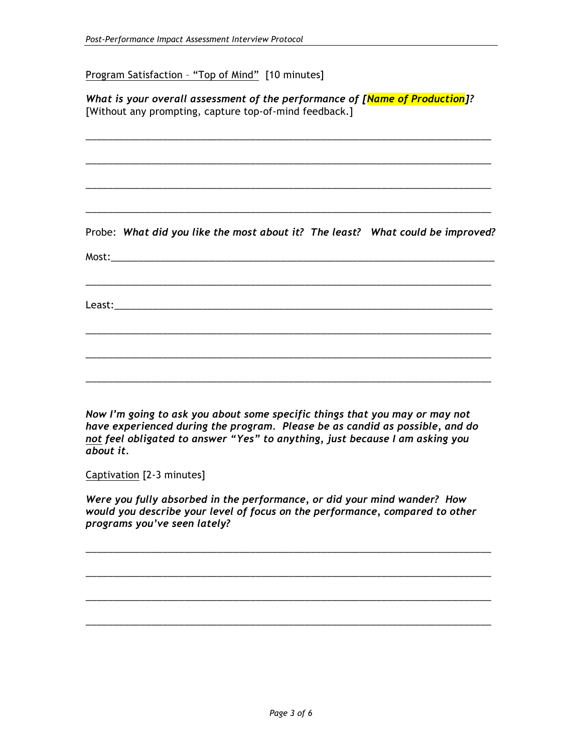Program Satisfaction – "Top of Mind" [10 minutes]

*What is your overall assessment of the performance of [Name of Production]?*  [Without any prompting, capture top-of-mind feedback.]

\_\_\_\_\_\_\_\_\_\_\_\_\_\_\_\_\_\_\_\_\_\_\_\_\_\_\_\_\_\_\_\_\_\_\_\_\_\_\_\_\_\_\_\_\_\_\_\_\_\_\_\_\_\_\_\_\_\_\_\_\_\_\_\_\_\_\_\_\_\_\_\_\_\_

\_\_\_\_\_\_\_\_\_\_\_\_\_\_\_\_\_\_\_\_\_\_\_\_\_\_\_\_\_\_\_\_\_\_\_\_\_\_\_\_\_\_\_\_\_\_\_\_\_\_\_\_\_\_\_\_\_\_\_\_\_\_\_\_\_\_\_\_\_\_\_\_\_\_

\_\_\_\_\_\_\_\_\_\_\_\_\_\_\_\_\_\_\_\_\_\_\_\_\_\_\_\_\_\_\_\_\_\_\_\_\_\_\_\_\_\_\_\_\_\_\_\_\_\_\_\_\_\_\_\_\_\_\_\_\_\_\_\_\_\_\_\_\_\_\_\_\_\_ \_\_\_\_\_\_\_\_\_\_\_\_\_\_\_\_\_\_\_\_\_\_\_\_\_\_\_\_\_\_\_\_\_\_\_\_\_\_\_\_\_\_\_\_\_\_\_\_\_\_\_\_\_\_\_\_\_\_\_\_\_\_\_\_\_\_\_\_\_\_\_\_\_\_ Probe: *What did you like the most about it? The least? What could be improved?* Most: \_\_\_\_\_\_\_\_\_\_\_\_\_\_\_\_\_\_\_\_\_\_\_\_\_\_\_\_\_\_\_\_\_\_\_\_\_\_\_\_\_\_\_\_\_\_\_\_\_\_\_\_\_\_\_\_\_\_\_\_\_\_\_\_\_\_\_\_\_\_\_\_\_\_ Least:\_\_\_\_\_\_\_\_\_\_\_\_\_\_\_\_\_\_\_\_\_\_\_\_\_\_\_\_\_\_\_\_\_\_\_\_\_\_\_\_\_\_\_\_\_\_\_\_\_\_\_\_\_\_\_\_\_\_\_\_\_\_\_\_\_\_\_\_\_ \_\_\_\_\_\_\_\_\_\_\_\_\_\_\_\_\_\_\_\_\_\_\_\_\_\_\_\_\_\_\_\_\_\_\_\_\_\_\_\_\_\_\_\_\_\_\_\_\_\_\_\_\_\_\_\_\_\_\_\_\_\_\_\_\_\_\_\_\_\_\_\_\_\_ \_\_\_\_\_\_\_\_\_\_\_\_\_\_\_\_\_\_\_\_\_\_\_\_\_\_\_\_\_\_\_\_\_\_\_\_\_\_\_\_\_\_\_\_\_\_\_\_\_\_\_\_\_\_\_\_\_\_\_\_\_\_\_\_\_\_\_\_\_\_\_\_\_\_

*Now I'm going to ask you about some specific things that you may or may not have experienced during the program. Please be as candid as possible, and do not feel obligated to answer "Yes" to anything, just because I am asking you about it.*

\_\_\_\_\_\_\_\_\_\_\_\_\_\_\_\_\_\_\_\_\_\_\_\_\_\_\_\_\_\_\_\_\_\_\_\_\_\_\_\_\_\_\_\_\_\_\_\_\_\_\_\_\_\_\_\_\_\_\_\_\_\_\_\_\_\_\_\_\_\_\_\_\_\_

Captivation [2-3 minutes]

*Were you fully absorbed in the performance, or did your mind wander? How would you describe your level of focus on the performance, compared to other programs you've seen lately?*

\_\_\_\_\_\_\_\_\_\_\_\_\_\_\_\_\_\_\_\_\_\_\_\_\_\_\_\_\_\_\_\_\_\_\_\_\_\_\_\_\_\_\_\_\_\_\_\_\_\_\_\_\_\_\_\_\_\_\_\_\_\_\_\_\_\_\_\_\_\_\_\_\_\_

\_\_\_\_\_\_\_\_\_\_\_\_\_\_\_\_\_\_\_\_\_\_\_\_\_\_\_\_\_\_\_\_\_\_\_\_\_\_\_\_\_\_\_\_\_\_\_\_\_\_\_\_\_\_\_\_\_\_\_\_\_\_\_\_\_\_\_\_\_\_\_\_\_\_

\_\_\_\_\_\_\_\_\_\_\_\_\_\_\_\_\_\_\_\_\_\_\_\_\_\_\_\_\_\_\_\_\_\_\_\_\_\_\_\_\_\_\_\_\_\_\_\_\_\_\_\_\_\_\_\_\_\_\_\_\_\_\_\_\_\_\_\_\_\_\_\_\_\_

\_\_\_\_\_\_\_\_\_\_\_\_\_\_\_\_\_\_\_\_\_\_\_\_\_\_\_\_\_\_\_\_\_\_\_\_\_\_\_\_\_\_\_\_\_\_\_\_\_\_\_\_\_\_\_\_\_\_\_\_\_\_\_\_\_\_\_\_\_\_\_\_\_\_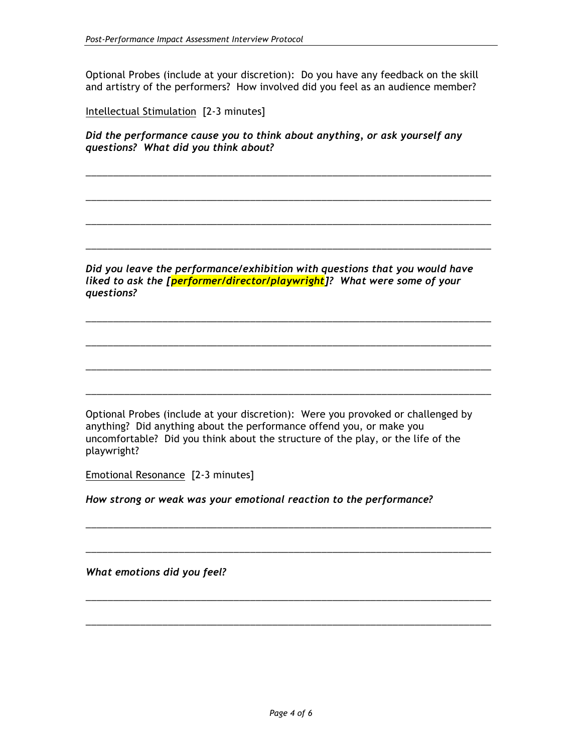Optional Probes (include at your discretion): Do you have any feedback on the skill and artistry of the performers? How involved did you feel as an audience member?

Intellectual Stimulation [2-3 minutes]

*Did the performance cause you to think about anything, or ask yourself any questions? What did you think about?*

\_\_\_\_\_\_\_\_\_\_\_\_\_\_\_\_\_\_\_\_\_\_\_\_\_\_\_\_\_\_\_\_\_\_\_\_\_\_\_\_\_\_\_\_\_\_\_\_\_\_\_\_\_\_\_\_\_\_\_\_\_\_\_\_\_\_\_\_\_\_\_\_\_\_

\_\_\_\_\_\_\_\_\_\_\_\_\_\_\_\_\_\_\_\_\_\_\_\_\_\_\_\_\_\_\_\_\_\_\_\_\_\_\_\_\_\_\_\_\_\_\_\_\_\_\_\_\_\_\_\_\_\_\_\_\_\_\_\_\_\_\_\_\_\_\_\_\_\_

\_\_\_\_\_\_\_\_\_\_\_\_\_\_\_\_\_\_\_\_\_\_\_\_\_\_\_\_\_\_\_\_\_\_\_\_\_\_\_\_\_\_\_\_\_\_\_\_\_\_\_\_\_\_\_\_\_\_\_\_\_\_\_\_\_\_\_\_\_\_\_\_\_\_

\_\_\_\_\_\_\_\_\_\_\_\_\_\_\_\_\_\_\_\_\_\_\_\_\_\_\_\_\_\_\_\_\_\_\_\_\_\_\_\_\_\_\_\_\_\_\_\_\_\_\_\_\_\_\_\_\_\_\_\_\_\_\_\_\_\_\_\_\_\_\_\_\_\_

\_\_\_\_\_\_\_\_\_\_\_\_\_\_\_\_\_\_\_\_\_\_\_\_\_\_\_\_\_\_\_\_\_\_\_\_\_\_\_\_\_\_\_\_\_\_\_\_\_\_\_\_\_\_\_\_\_\_\_\_\_\_\_\_\_\_\_\_\_\_\_\_\_\_

\_\_\_\_\_\_\_\_\_\_\_\_\_\_\_\_\_\_\_\_\_\_\_\_\_\_\_\_\_\_\_\_\_\_\_\_\_\_\_\_\_\_\_\_\_\_\_\_\_\_\_\_\_\_\_\_\_\_\_\_\_\_\_\_\_\_\_\_\_\_\_\_\_\_

\_\_\_\_\_\_\_\_\_\_\_\_\_\_\_\_\_\_\_\_\_\_\_\_\_\_\_\_\_\_\_\_\_\_\_\_\_\_\_\_\_\_\_\_\_\_\_\_\_\_\_\_\_\_\_\_\_\_\_\_\_\_\_\_\_\_\_\_\_\_\_\_\_\_

\_\_\_\_\_\_\_\_\_\_\_\_\_\_\_\_\_\_\_\_\_\_\_\_\_\_\_\_\_\_\_\_\_\_\_\_\_\_\_\_\_\_\_\_\_\_\_\_\_\_\_\_\_\_\_\_\_\_\_\_\_\_\_\_\_\_\_\_\_\_\_\_\_\_

\_\_\_\_\_\_\_\_\_\_\_\_\_\_\_\_\_\_\_\_\_\_\_\_\_\_\_\_\_\_\_\_\_\_\_\_\_\_\_\_\_\_\_\_\_\_\_\_\_\_\_\_\_\_\_\_\_\_\_\_\_\_\_\_\_\_\_\_\_\_\_\_\_\_

\_\_\_\_\_\_\_\_\_\_\_\_\_\_\_\_\_\_\_\_\_\_\_\_\_\_\_\_\_\_\_\_\_\_\_\_\_\_\_\_\_\_\_\_\_\_\_\_\_\_\_\_\_\_\_\_\_\_\_\_\_\_\_\_\_\_\_\_\_\_\_\_\_\_

\_\_\_\_\_\_\_\_\_\_\_\_\_\_\_\_\_\_\_\_\_\_\_\_\_\_\_\_\_\_\_\_\_\_\_\_\_\_\_\_\_\_\_\_\_\_\_\_\_\_\_\_\_\_\_\_\_\_\_\_\_\_\_\_\_\_\_\_\_\_\_\_\_\_

\_\_\_\_\_\_\_\_\_\_\_\_\_\_\_\_\_\_\_\_\_\_\_\_\_\_\_\_\_\_\_\_\_\_\_\_\_\_\_\_\_\_\_\_\_\_\_\_\_\_\_\_\_\_\_\_\_\_\_\_\_\_\_\_\_\_\_\_\_\_\_\_\_\_

*Did you leave the performance/exhibition with questions that you would have liked to ask the [performer/director/playwright]? What were some of your questions?*

Optional Probes (include at your discretion): Were you provoked or challenged by anything? Did anything about the performance offend you, or make you uncomfortable? Did you think about the structure of the play, or the life of the playwright?

Emotional Resonance [2-3 minutes]

*How strong or weak was your emotional reaction to the performance?*

*What emotions did you feel?*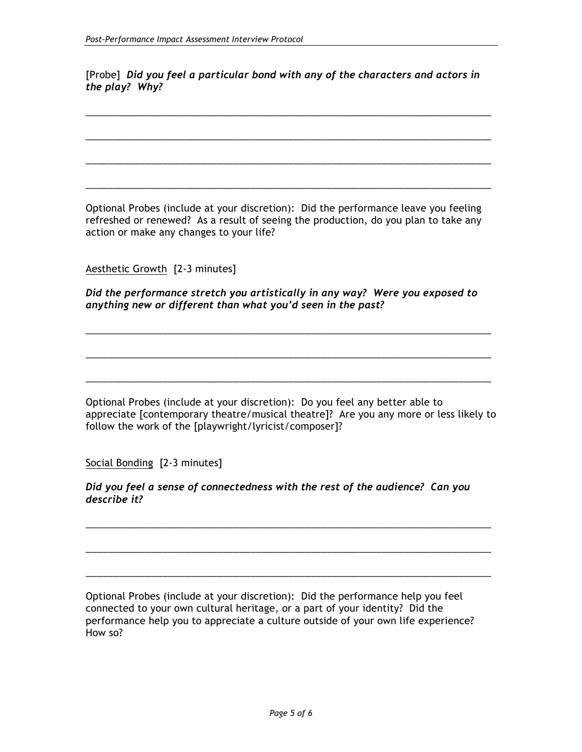[Probe]*Did you feel a particular bond with any of the characters and actors in the play? Why?*

\_\_\_\_\_\_\_\_\_\_\_\_\_\_\_\_\_\_\_\_\_\_\_\_\_\_\_\_\_\_\_\_\_\_\_\_\_\_\_\_\_\_\_\_\_\_\_\_\_\_\_\_\_\_\_\_\_\_\_\_\_\_\_\_\_\_\_\_\_\_\_\_\_\_

\_\_\_\_\_\_\_\_\_\_\_\_\_\_\_\_\_\_\_\_\_\_\_\_\_\_\_\_\_\_\_\_\_\_\_\_\_\_\_\_\_\_\_\_\_\_\_\_\_\_\_\_\_\_\_\_\_\_\_\_\_\_\_\_\_\_\_\_\_\_\_\_\_\_

\_\_\_\_\_\_\_\_\_\_\_\_\_\_\_\_\_\_\_\_\_\_\_\_\_\_\_\_\_\_\_\_\_\_\_\_\_\_\_\_\_\_\_\_\_\_\_\_\_\_\_\_\_\_\_\_\_\_\_\_\_\_\_\_\_\_\_\_\_\_\_\_\_\_

\_\_\_\_\_\_\_\_\_\_\_\_\_\_\_\_\_\_\_\_\_\_\_\_\_\_\_\_\_\_\_\_\_\_\_\_\_\_\_\_\_\_\_\_\_\_\_\_\_\_\_\_\_\_\_\_\_\_\_\_\_\_\_\_\_\_\_\_\_\_\_\_\_\_

Optional Probes (include at your discretion): Did the performance leave you feeling refreshed or renewed? As a result of seeing the production, do you plan to take any action or make any changes to your life?

Aesthetic Growth [2-3 minutes]

*Did the performance stretch you artistically in any way? Were you exposed to anything new or different than what you'd seen in the past?*

\_\_\_\_\_\_\_\_\_\_\_\_\_\_\_\_\_\_\_\_\_\_\_\_\_\_\_\_\_\_\_\_\_\_\_\_\_\_\_\_\_\_\_\_\_\_\_\_\_\_\_\_\_\_\_\_\_\_\_\_\_\_\_\_\_\_\_\_\_\_\_\_\_\_

\_\_\_\_\_\_\_\_\_\_\_\_\_\_\_\_\_\_\_\_\_\_\_\_\_\_\_\_\_\_\_\_\_\_\_\_\_\_\_\_\_\_\_\_\_\_\_\_\_\_\_\_\_\_\_\_\_\_\_\_\_\_\_\_\_\_\_\_\_\_\_\_\_\_

\_\_\_\_\_\_\_\_\_\_\_\_\_\_\_\_\_\_\_\_\_\_\_\_\_\_\_\_\_\_\_\_\_\_\_\_\_\_\_\_\_\_\_\_\_\_\_\_\_\_\_\_\_\_\_\_\_\_\_\_\_\_\_\_\_\_\_\_\_\_\_\_\_\_

Optional Probes (include at your discretion): Do you feel any better able to appreciate [contemporary theatre/musical theatre]? Are you any more or less likely to follow the work of the [playwright/lyricist/composer]?

Social Bonding [2-3 minutes]

*Did you feel a sense of connectedness with the rest of the audience? Can you describe it?*

\_\_\_\_\_\_\_\_\_\_\_\_\_\_\_\_\_\_\_\_\_\_\_\_\_\_\_\_\_\_\_\_\_\_\_\_\_\_\_\_\_\_\_\_\_\_\_\_\_\_\_\_\_\_\_\_\_\_\_\_\_\_\_\_\_\_\_\_\_\_\_\_\_\_

\_\_\_\_\_\_\_\_\_\_\_\_\_\_\_\_\_\_\_\_\_\_\_\_\_\_\_\_\_\_\_\_\_\_\_\_\_\_\_\_\_\_\_\_\_\_\_\_\_\_\_\_\_\_\_\_\_\_\_\_\_\_\_\_\_\_\_\_\_\_\_\_\_\_

\_\_\_\_\_\_\_\_\_\_\_\_\_\_\_\_\_\_\_\_\_\_\_\_\_\_\_\_\_\_\_\_\_\_\_\_\_\_\_\_\_\_\_\_\_\_\_\_\_\_\_\_\_\_\_\_\_\_\_\_\_\_\_\_\_\_\_\_\_\_\_\_\_\_

Optional Probes (include at your discretion): Did the performance help you feel connected to your own cultural heritage, or a part of your identity? Did the performance help you to appreciate a culture outside of your own life experience? How so?